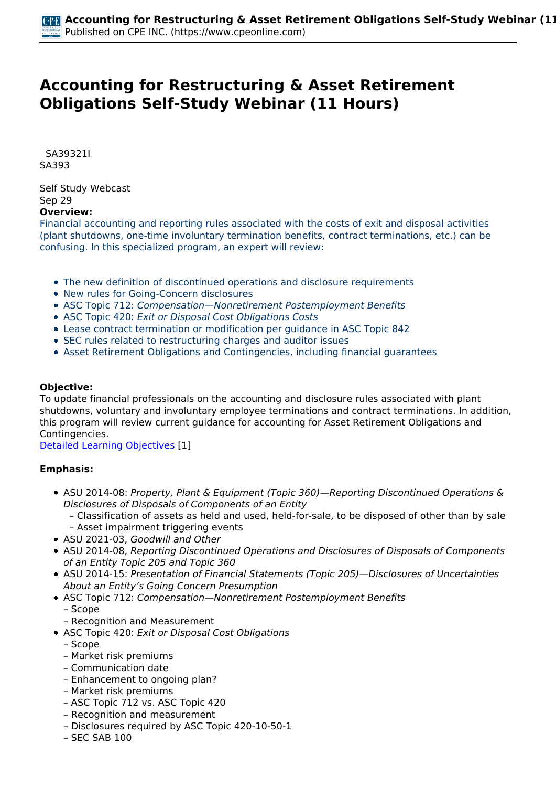# **Accounting for Restructuring & Asset Retirement Obligations Self-Study Webinar (11 Hours)**

 *SA39321I SA393* 

*Self Study Webcast Sep 29*  **Overview:** 

*Financial accounting and reporting rules associated with the costs of exit and disposal activities (plant shutdowns, one-time involuntary termination benefits, contract terminations, etc.) can be confusing. In this specialized program, an expert will review:*

- *The new definition of discontinued operations and disclosure requirements*
- *New rules for Going-Concern disclosures*
- *ASC Topic 712: Compensation—Nonretirement Postemployment Benefits*
- *ASC Topic 420: Exit or Disposal Cost Obligations Costs*
- *Lease contract termination or modification per guidance in ASC Topic 842*
- *SEC rules related to restructuring charges and auditor issues*
- *Asset Retirement Obligations and Contingencies, including financial guarantees*

## **Objective:**

*To update financial professionals on the accounting and disclosure rules associated with plant shutdowns, voluntary and involuntary employee terminations and contract terminations. In addition, this program will review current guidance for accounting for Asset Retirement Obligations and Contingencies.*

*[Detailed Learning Objectives](https://www.cpeonline.com/JavaScript:showObjectivesPopup();) [1]*

#### **Emphasis:**

- *ASU 2014-08: Property, Plant & Equipment (Topic 360)—Reporting Discontinued Operations & Disclosures of Disposals of Components of an Entity*
	- *– Classification of assets as held and used, held-for-sale, to be disposed of other than by sale – Asset impairment triggering events*
- *ASU 2021-03, Goodwill and Other*
- *ASU 2014-08, Reporting Discontinued Operations and Disclosures of Disposals of Components of an Entity Topic 205 and Topic 360*
- *ASU 2014-15: Presentation of Financial Statements (Topic 205)—Disclosures of Uncertainties About an Entity's Going Concern Presumption*
- *ASC Topic 712: Compensation—Nonretirement Postemployment Benefits*
	- *Scope*
	- *Recognition and Measurement*
- *ASC Topic 420: Exit or Disposal Cost Obligations*
	- *Scope*
	- *Market risk premiums*
	- *Communication date*
	- *Enhancement to ongoing plan?*
	- *Market risk premiums*
	- *ASC Topic 712 vs. ASC Topic 420*
	- *Recognition and measurement*
	- *Disclosures required by ASC Topic 420-10-50-1*
	- *SEC SAB 100*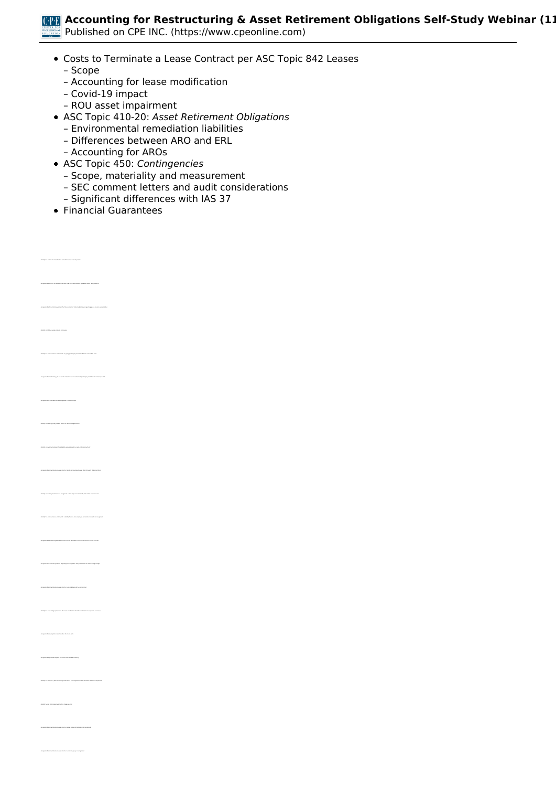**Accounting for Restructuring & Asset Retirement Obligations Self-Study Webinar (1)** 

*Published on CPE INC. (https://www.cpeonline.com)*

- *Costs to Terminate a Lease Contract per ASC Topic 842 Leases*
	- *Scope*
	- *Accounting for lease modification*
	- *Covid-19 impact*
	- *ROU asset impairment*
- *ASC Topic 410-20: Asset Retirement Obligations*
	- *Environmental remediation liabilities*
	- *Differences between ARO and ERL*
	- *Accounting for AROs*
- *ASC Topic 450: Contingencies*
	- *Scope, materiality and measurement*
	- *SEC comment letters and audit considerations*
	- *Significant differences with IAS 37*
- *Financial Guarantees*

*• Identify the criteria for classification as held for sale under Topic 360*

*• Identify mandatory going concern disclosures*

*• Recognize the threshold requirement for the provision of footnote disclosure regarding going concern uncertainties* 

*• Recognize the methodology to be used to determine a nonretirement postemployment benefit under Topic 712*

*• Identify accounting treatment for a liability associated with an exit or disposal activity* 

*• Identify the circumstances under which a liability for one-time employee termination benefits is recognized* 

*• Recognize the circumstances under which a lease liability must be remeasured* 

*• Recognize the potential impacts of COVID-19 on lease accounting* 

*• Recognize the circumstances under which an asset retirement obligation is recognized*